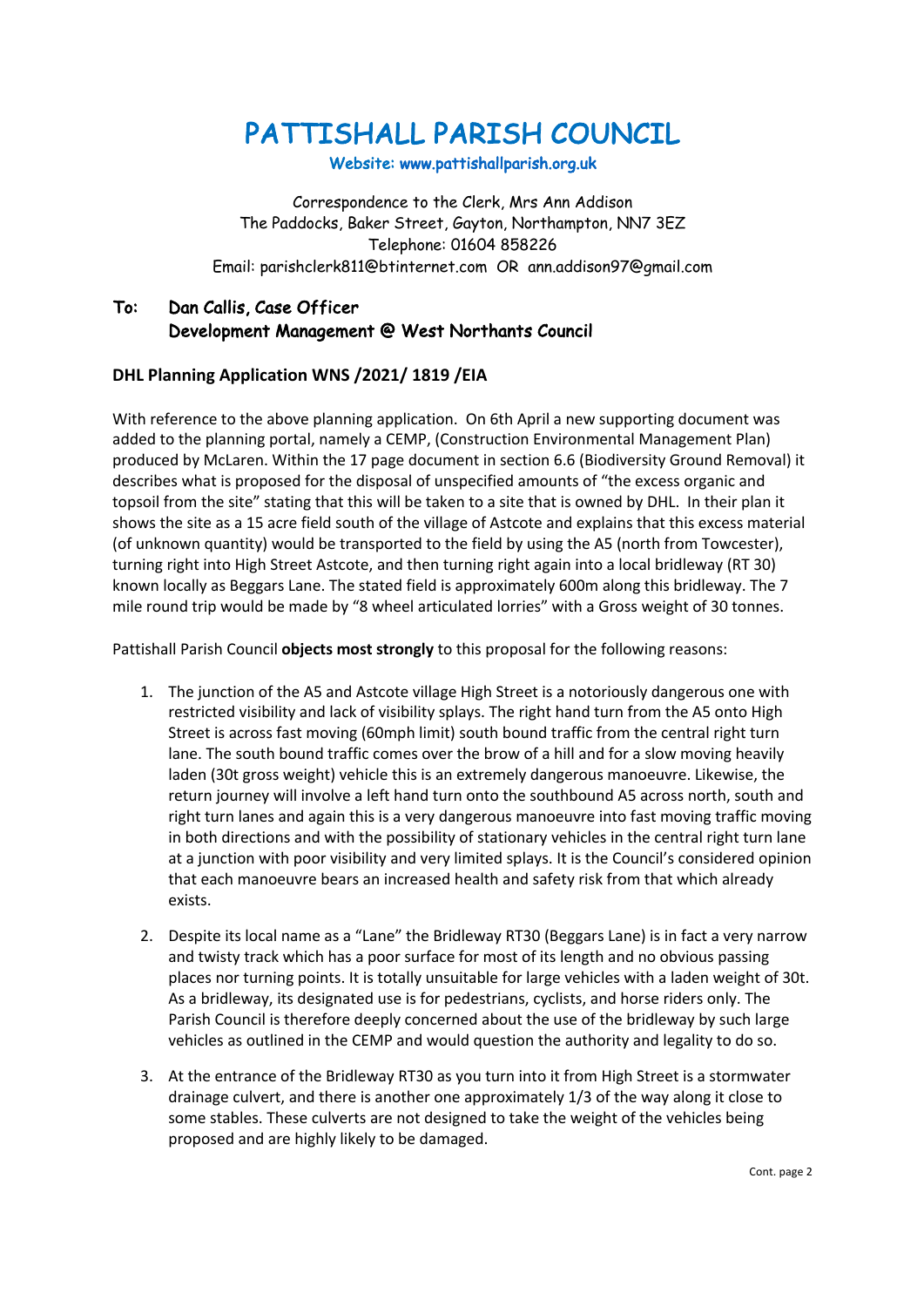PATTISHALL PARISH COUNCIL

Website: www.pattishallparish.org.uk

Correspondence to the Clerk, Mrs Ann Addison The Paddocks, Baker Street, Gayton, Northampton, NN7 3EZ Telephone: 01604 858226 Email: parishclerk811@btinternet.com OR ann.addison97@gmail.com

## To: Dan Callis, Case Officer Development Management @ West Northants Council

## **DHL Planning Application WNS /2021/ 1819 /EIA**

With reference to the above planning application. On 6th April a new supporting document was added to the planning portal, namely a CEMP, (Construction Environmental Management Plan) produced by McLaren. Within the 17 page document in section 6.6 (Biodiversity Ground Removal) it describes what is proposed for the disposal of unspecified amounts of "the excess organic and topsoil from the site" stating that this will be taken to a site that is owned by DHL. In their plan it shows the site as a 15 acre field south of the village of Astcote and explains that this excess material (of unknown quantity) would be transported to the field by using the A5 (north from Towcester), turning right into High Street Astcote, and then turning right again into a local bridleway (RT 30) known locally as Beggars Lane. The stated field is approximately 600m along this bridleway. The 7 mile round trip would be made by "8 wheel articulated lorries" with a Gross weight of 30 tonnes.

Pattishall Parish Council **objects most strongly** to this proposal for the following reasons:

- 1. The junction of the A5 and Astcote village High Street is a notoriously dangerous one with restricted visibility and lack of visibility splays. The right hand turn from the A5 onto High Street is across fast moving (60mph limit) south bound traffic from the central right turn lane. The south bound traffic comes over the brow of a hill and for a slow moving heavily laden (30t gross weight) vehicle this is an extremely dangerous manoeuvre. Likewise, the return journey will involve a left hand turn onto the southbound A5 across north, south and right turn lanes and again this is a very dangerous manoeuvre into fast moving traffic moving in both directions and with the possibility of stationary vehicles in the central right turn lane at a junction with poor visibility and very limited splays. It is the Council's considered opinion that each manoeuvre bears an increased health and safety risk from that which already exists.
- 2. Despite its local name as a "Lane" the Bridleway RT30 (Beggars Lane) is in fact a very narrow and twisty track which has a poor surface for most of its length and no obvious passing places nor turning points. It is totally unsuitable for large vehicles with a laden weight of 30t. As a bridleway, its designated use is for pedestrians, cyclists, and horse riders only. The Parish Council is therefore deeply concerned about the use of the bridleway by such large vehicles as outlined in the CEMP and would question the authority and legality to do so.
- 3. At the entrance of the Bridleway RT30 as you turn into it from High Street is a stormwater drainage culvert, and there is another one approximately 1/3 of the way along it close to some stables. These culverts are not designed to take the weight of the vehicles being proposed and are highly likely to be damaged.